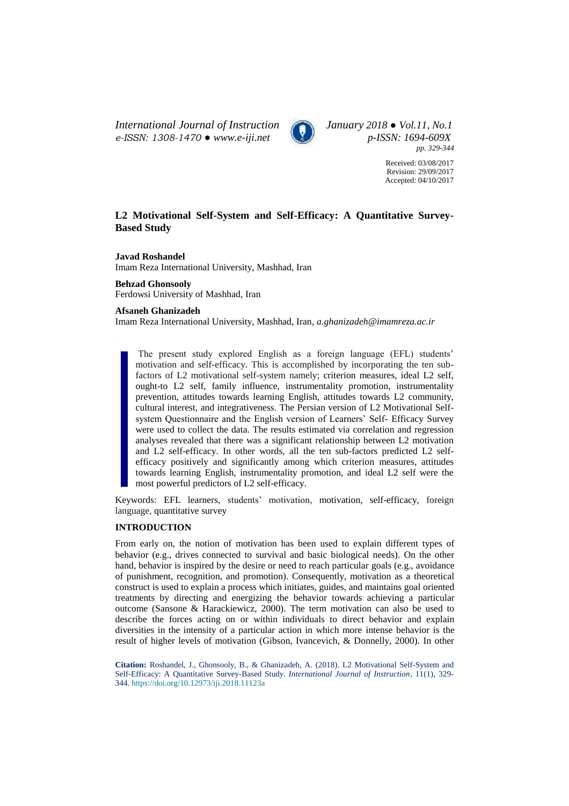*International Journal of Instruction January 2018 ● Vol.11, No.1 e-ISSN: 1308-1470 ● [www.e-iji.net](http://www.e-iji.net/) p-ISSN: 1694-609X*



*pp. 329-344*

Received: 03/08/2017 Revision: 29/09/2017 Accepted: 04/10/2017

# **L2 Motivational Self-System and Self-Efficacy: A Quantitative Survey-Based Study**

**Javad Roshandel**

Imam Reza International University, Mashhad, Iran

**Behzad Ghonsooly** Ferdowsi University of Mashhad, Iran

### **Afsaneh Ghanizadeh**

Imam Reza International University, Mashhad, Iran, *[a.ghanizadeh@imamreza.ac.ir](mailto:ghanizadeh@imamreza.ac.ir)*

The present study explored English as a foreign language (EFL) students' motivation and self-efficacy. This is accomplished by incorporating the ten subfactors of L2 motivational self-system namely; criterion measures, ideal L2 self, ought-to L2 self, family influence, instrumentality promotion, instrumentality prevention, attitudes towards learning English, attitudes towards L2 community, cultural interest, and integrativeness. The Persian version of L2 Motivational Selfsystem Questionnaire and the English version of Learners' Self- Efficacy Survey were used to collect the data. The results estimated via correlation and regression analyses revealed that there was a significant relationship between L2 motivation and L2 self-efficacy. In other words, all the ten sub-factors predicted L2 selfefficacy positively and significantly among which criterion measures, attitudes towards learning English, instrumentality promotion, and ideal L2 self were the most powerful predictors of L2 self-efficacy.

Keywords: EFL learners, students' motivation, motivation, self-efficacy, foreign language, quantitative survey

#### **INTRODUCTION**

From early on, the notion of motivation has been used to explain different types of behavior (e.g., drives connected to survival and basic biological needs). On the other hand, behavior is inspired by the desire or need to reach particular goals (e.g., avoidance of punishment, recognition, and promotion). Consequently, motivation as a theoretical construct is used to explain a process which initiates, guides, and maintains goal oriented treatments by directing and energizing the behavior towards achieving a particular outcome (Sansone & Harackiewicz, 2000). The term motivation can also be used to describe the forces acting on or within individuals to direct behavior and explain diversities in the intensity of a particular action in which more intense behavior is the result of higher levels of motivation (Gibson, Ivancevich, & Donnelly, 2000). In other

**Citation:** Roshandel, J., Ghonsooly, B., & Ghanizadeh, A. (2018). L2 Motivational Self-System and Self-Efficacy: A Quantitative Survey-Based Study. *International Journal of Instruction*, 11(1), 329- 344. <https://doi.org/10.12973/iji.2018.11123a>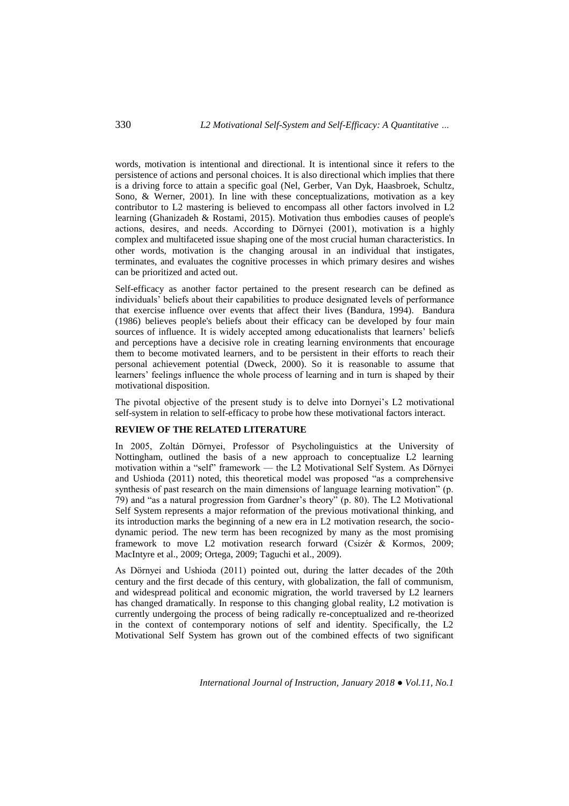words, motivation is intentional and directional. It is intentional since it refers to the persistence of actions and personal choices. It is also directional which implies that there is a driving force to attain a specific goal (Nel, Gerber, Van Dyk, Haasbroek, Schultz, Sono, & Werner, 2001). In line with these conceptualizations, motivation as a key contributor to L2 mastering is believed to encompass all other factors involved in L2 learning (Ghanizadeh & Rostami, 2015). Motivation thus embodies causes of people's actions, desires, and needs. According to Dörnyei (2001), motivation is a highly complex and multifaceted issue shaping one of the most crucial human characteristics. In other words, motivation is the changing arousal in an individual that instigates, terminates, and evaluates the cognitive processes in which primary desires and wishes can be prioritized and acted out.

Self-efficacy as another factor pertained to the present research can be defined as individuals' beliefs about their capabilities to produce designated levels of performance that exercise influence over events that affect their lives (Bandura, 1994). Bandura (1986) believes people's beliefs about their efficacy can be developed by four main sources of influence. It is widely accepted among educationalists that learners' beliefs and perceptions have a decisive role in creating learning environments that encourage them to become motivated learners, and to be persistent in their efforts to reach their personal achievement potential (Dweck, 2000). So it is reasonable to assume that learners' feelings influence the whole process of learning and in turn is shaped by their motivational disposition.

The pivotal objective of the present study is to delve into Dornyei's L2 motivational self-system in relation to self-efficacy to probe how these motivational factors interact.

### **REVIEW OF THE RELATED LITERATURE**

In 2005, Zoltán Dörnyei, Professor of Psycholinguistics at the University of Nottingham, outlined the basis of a new approach to conceptualize L2 learning motivation within a "self" framework — the L2 Motivational Self System. As Dörnyei and Ushioda (2011) noted, this theoretical model was proposed "as a comprehensive synthesis of past research on the main dimensions of language learning motivation" (p. 79) and "as a natural progression from Gardner's theory" (p. 80). The L2 Motivational Self System represents a major reformation of the previous motivational thinking, and its introduction marks the beginning of a new era in L2 motivation research, the sociodynamic period. The new term has been recognized by many as the most promising framework to move L2 motivation research forward (Csizér & Kormos, 2009; MacIntyre et al., 2009; Ortega, 2009; Taguchi et al., 2009).

As Dörnyei and Ushioda (2011) pointed out, during the latter decades of the 20th century and the first decade of this century, with globalization, the fall of communism, and widespread political and economic migration, the world traversed by L2 learners has changed dramatically. In response to this changing global reality, L2 motivation is currently undergoing the process of being radically re-conceptualized and re-theorized in the context of contemporary notions of self and identity. Specifically, the L2 Motivational Self System has grown out of the combined effects of two significant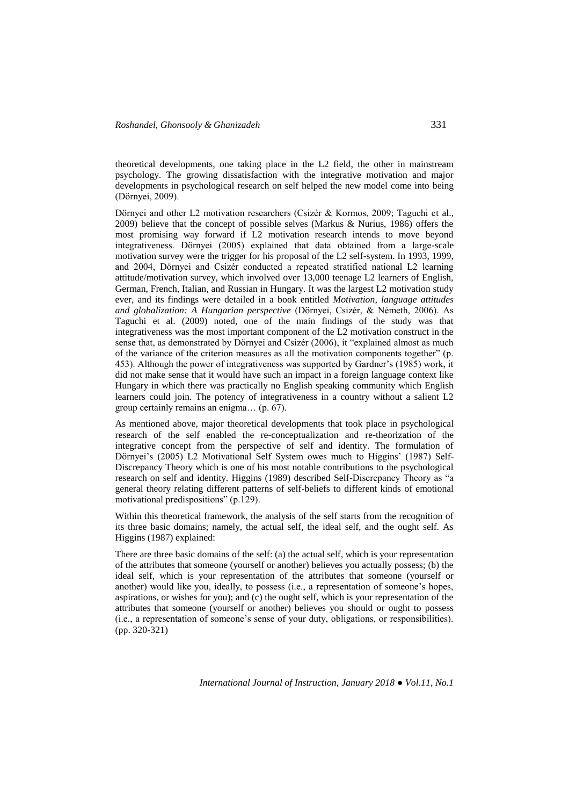theoretical developments, one taking place in the L2 field, the other in mainstream psychology. The growing dissatisfaction with the integrative motivation and major developments in psychological research on self helped the new model come into being (Dörnyei, 2009).

Dörnyei and other L2 motivation researchers (Csizér & Kormos, 2009; Taguchi et al., 2009) believe that the concept of possible selves (Markus & Nurius, 1986) offers the most promising way forward if L2 motivation research intends to move beyond integrativeness. Dörnyei (2005) explained that data obtained from a large-scale motivation survey were the trigger for his proposal of the L2 self-system. In 1993, 1999, and 2004, Dörnyei and Csizér conducted a repeated stratified national L2 learning attitude/motivation survey, which involved over 13,000 teenage L2 learners of English, German, French, Italian, and Russian in Hungary. It was the largest L2 motivation study ever, and its findings were detailed in a book entitled *Motivation, language attitudes and globalization: A Hungarian perspective* (Dörnyei, Csizér, & Németh, 2006). As Taguchi et al. (2009) noted, one of the main findings of the study was that integrativeness was the most important component of the L2 motivation construct in the sense that, as demonstrated by Dörnyei and Csizér (2006), it "explained almost as much of the variance of the criterion measures as all the motivation components together" (p. 453). Although the power of integrativeness was supported by Gardner's (1985) work, it did not make sense that it would have such an impact in a foreign language context like Hungary in which there was practically no English speaking community which English learners could join. The potency of integrativeness in a country without a salient L2 group certainly remains an enigma… (p. 67).

As mentioned above, major theoretical developments that took place in psychological research of the self enabled the re-conceptualization and re-theorization of the integrative concept from the perspective of self and identity. The formulation of Dörnyei's (2005) L2 Motivational Self System owes much to Higgins' (1987) Self-Discrepancy Theory which is one of his most notable contributions to the psychological research on self and identity. Higgins (1989) described Self-Discrepancy Theory as "a general theory relating different patterns of self-beliefs to different kinds of emotional motivational predispositions" (p.129).

Within this theoretical framework, the analysis of the self starts from the recognition of its three basic domains; namely, the actual self, the ideal self, and the ought self. As Higgins (1987) explained:

There are three basic domains of the self: (a) the actual self, which is your representation of the attributes that someone (yourself or another) believes you actually possess; (b) the ideal self, which is your representation of the attributes that someone (yourself or another) would like you, ideally, to possess (i.e., a representation of someone's hopes, aspirations, or wishes for you); and (c) the ought self, which is your representation of the attributes that someone (yourself or another) believes you should or ought to possess (i.e., a representation of someone's sense of your duty, obligations, or responsibilities). (pp. 320-321)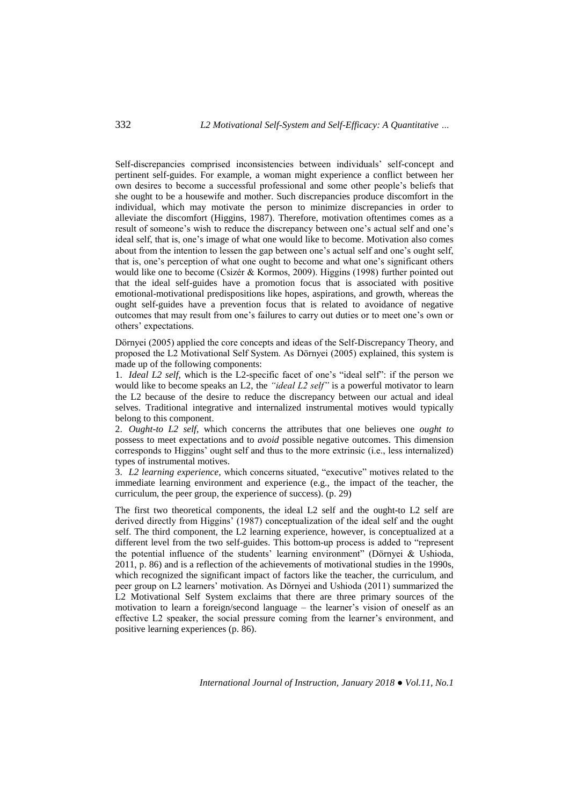Self-discrepancies comprised inconsistencies between individuals' self-concept and pertinent self-guides. For example, a woman might experience a conflict between her own desires to become a successful professional and some other people's beliefs that she ought to be a housewife and mother. Such discrepancies produce discomfort in the individual, which may motivate the person to minimize discrepancies in order to alleviate the discomfort (Higgins, 1987). Therefore, motivation oftentimes comes as a result of someone's wish to reduce the discrepancy between one's actual self and one's ideal self, that is, one's image of what one would like to become. Motivation also comes about from the intention to lessen the gap between one's actual self and one's ought self, that is, one's perception of what one ought to become and what one's significant others would like one to become (Csizér & Kormos, 2009). Higgins (1998) further pointed out that the ideal self-guides have a promotion focus that is associated with positive emotional-motivational predispositions like hopes, aspirations, and growth, whereas the ought self-guides have a prevention focus that is related to avoidance of negative outcomes that may result from one's failures to carry out duties or to meet one's own or others' expectations.

Dörnyei (2005) applied the core concepts and ideas of the Self-Discrepancy Theory, and proposed the L2 Motivational Self System. As Dörnyei (2005) explained, this system is made up of the following components:

1. *Ideal L2 self,* which is the L2-specific facet of one's "ideal self": if the person we would like to become speaks an L2, the *"ideal L2 self"* is a powerful motivator to learn the L2 because of the desire to reduce the discrepancy between our actual and ideal selves. Traditional integrative and internalized instrumental motives would typically belong to this component.

2. *Ought-to L2 self,* which concerns the attributes that one believes one *ought to*  possess to meet expectations and to *avoid* possible negative outcomes. This dimension corresponds to Higgins' ought self and thus to the more extrinsic (i.e., less internalized) types of instrumental motives.

3. *L2 learning experience,* which concerns situated, "executive" motives related to the immediate learning environment and experience (e.g., the impact of the teacher, the curriculum, the peer group, the experience of success). (p. 29)

The first two theoretical components, the ideal L2 self and the ought-to L2 self are derived directly from Higgins' (1987) conceptualization of the ideal self and the ought self. The third component, the L2 learning experience, however, is conceptualized at a different level from the two self-guides. This bottom-up process is added to "represent the potential influence of the students' learning environment" (Dörnyei & Ushioda, 2011, p. 86) and is a reflection of the achievements of motivational studies in the 1990s, which recognized the significant impact of factors like the teacher, the curriculum, and peer group on L2 learners' motivation. As Dörnyei and Ushioda (2011) summarized the L2 Motivational Self System exclaims that there are three primary sources of the motivation to learn a foreign/second language – the learner's vision of oneself as an effective L2 speaker, the social pressure coming from the learner's environment, and positive learning experiences (p. 86).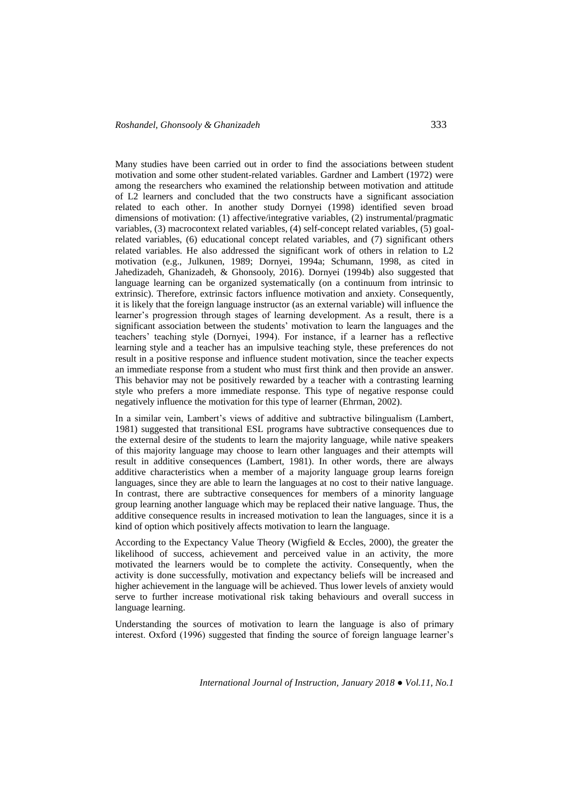Many studies have been carried out in order to find the associations between student motivation and some other student-related variables. Gardner and Lambert (1972) were among the researchers who examined the relationship between motivation and attitude of L2 learners and concluded that the two constructs have a significant association related to each other. In another study Dornyei (1998) identified seven broad dimensions of motivation: (1) affective/integrative variables, (2) instrumental/pragmatic variables, (3) macrocontext related variables, (4) self-concept related variables, (5) goalrelated variables, (6) educational concept related variables, and (7) significant others related variables. He also addressed the significant work of others in relation to L2 motivation (e.g., Julkunen, 1989; Dornyei, 1994a; Schumann, 1998, as cited in Jahedizadeh, Ghanizadeh, & Ghonsooly, 2016). Dornyei (1994b) also suggested that language learning can be organized systematically (on a continuum from intrinsic to extrinsic). Therefore, extrinsic factors influence motivation and anxiety. Consequently, it is likely that the foreign language instructor (as an external variable) will influence the learner's progression through stages of learning development. As a result, there is a significant association between the students' motivation to learn the languages and the teachers' teaching style (Dornyei, 1994). For instance, if a learner has a reflective learning style and a teacher has an impulsive teaching style, these preferences do not result in a positive response and influence student motivation, since the teacher expects an immediate response from a student who must first think and then provide an answer. This behavior may not be positively rewarded by a teacher with a contrasting learning style who prefers a more immediate response. This type of negative response could negatively influence the motivation for this type of learner (Ehrman, 2002).

In a similar vein, Lambert's views of additive and subtractive bilingualism (Lambert, 1981) suggested that transitional ESL programs have subtractive consequences due to the external desire of the students to learn the majority language, while native speakers of this majority language may choose to learn other languages and their attempts will result in additive consequences (Lambert, 1981). In other words, there are always additive characteristics when a member of a majority language group learns foreign languages, since they are able to learn the languages at no cost to their native language. In contrast, there are subtractive consequences for members of a minority language group learning another language which may be replaced their native language. Thus, the additive consequence results in increased motivation to lean the languages, since it is a kind of option which positively affects motivation to learn the language.

According to the Expectancy Value Theory (Wigfield & Eccles, 2000), the greater the likelihood of success, achievement and perceived value in an activity, the more motivated the learners would be to complete the activity. Consequently, when the activity is done successfully, motivation and expectancy beliefs will be increased and higher achievement in the language will be achieved. Thus lower levels of anxiety would serve to further increase motivational risk taking behaviours and overall success in language learning.

Understanding the sources of motivation to learn the language is also of primary interest. Oxford (1996) suggested that finding the source of foreign language learner's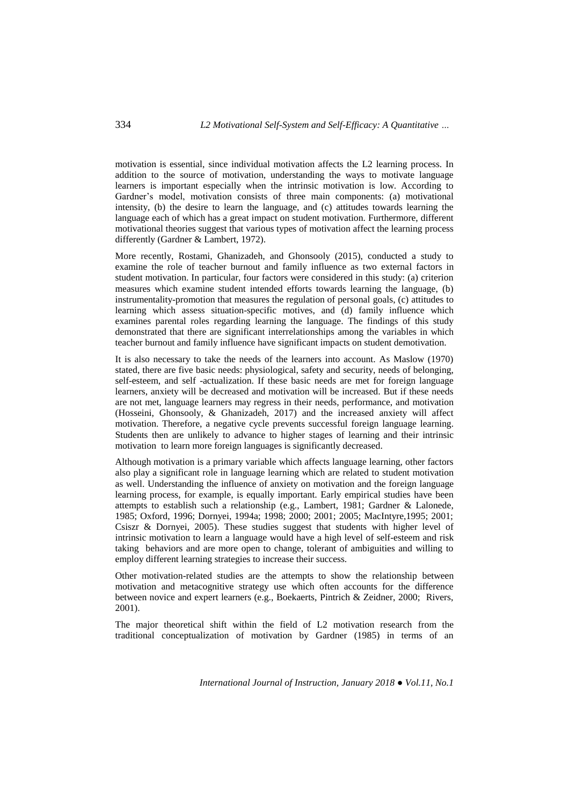motivation is essential, since individual motivation affects the L2 learning process. In addition to the source of motivation, understanding the ways to motivate language learners is important especially when the intrinsic motivation is low. According to Gardner's model, motivation consists of three main components: (a) motivational intensity, (b) the desire to learn the language, and (c) attitudes towards learning the language each of which has a great impact on student motivation. Furthermore, different motivational theories suggest that various types of motivation affect the learning process differently (Gardner & Lambert, 1972).

More recently, Rostami, Ghanizadeh, and Ghonsooly (2015), conducted a study to examine the role of teacher burnout and family influence as two external factors in student motivation. In particular, four factors were considered in this study: (a) criterion measures which examine student intended efforts towards learning the language, (b) instrumentality-promotion that measures the regulation of personal goals, (c) attitudes to learning which assess situation-specific motives, and (d) family influence which examines parental roles regarding learning the language. The findings of this study demonstrated that there are significant interrelationships among the variables in which teacher burnout and family influence have significant impacts on student demotivation.

It is also necessary to take the needs of the learners into account. As Maslow (1970) stated, there are five basic needs: physiological, safety and security, needs of belonging, self-esteem, and self -actualization. If these basic needs are met for foreign language learners, anxiety will be decreased and motivation will be increased. But if these needs are not met, language learners may regress in their needs, performance, and motivation (Hosseini, Ghonsooly, & Ghanizadeh, 2017) and the increased anxiety will affect motivation. Therefore, a negative cycle prevents successful foreign language learning. Students then are unlikely to advance to higher stages of learning and their intrinsic motivation to learn more foreign languages is significantly decreased.

Although motivation is a primary variable which affects language learning, other factors also play a significant role in language learning which are related to student motivation as well. Understanding the influence of anxiety on motivation and the foreign language learning process, for example, is equally important. Early empirical studies have been attempts to establish such a relationship (e.g., Lambert, 1981; Gardner & Lalonede, 1985; Oxford, 1996; Dornyei, 1994a; 1998; 2000; 2001; 2005; MacIntyre,1995; 2001; Csiszr & Dornyei, 2005). These studies suggest that students with higher level of intrinsic motivation to learn a language would have a high level of self-esteem and risk taking behaviors and are more open to change, tolerant of ambiguities and willing to employ different learning strategies to increase their success.

Other motivation-related studies are the attempts to show the relationship between motivation and metacognitive strategy use which often accounts for the difference between novice and expert learners (e.g., Boekaerts, Pintrich & Zeidner, 2000; Rivers, 2001).

The major theoretical shift within the field of L2 motivation research from the traditional conceptualization of motivation by Gardner (1985) in terms of an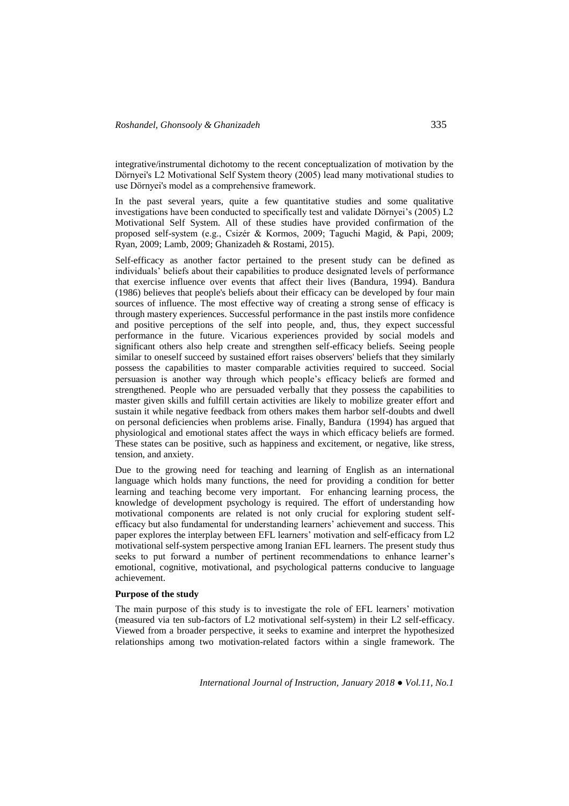integrative/instrumental dichotomy to the recent conceptualization of motivation by the Dörnyei's L2 Motivational Self System theory (2005) lead many motivational studies to use Dörnyei's model as a comprehensive framework.

In the past several years, quite a few quantitative studies and some qualitative investigations have been conducted to specifically test and validate Dörnyei's (2005) L2 Motivational Self System. All of these studies have provided confirmation of the proposed self-system (e.g., Csizér & Kormos, 2009; Taguchi Magid, & Papi, 2009; Ryan, 2009; Lamb, 2009; Ghanizadeh & Rostami, 2015).

Self-efficacy as another factor pertained to the present study can be defined as individuals' beliefs about their capabilities to produce designated levels of performance that exercise influence over events that affect their lives (Bandura, 1994). Bandura (1986) believes that people's beliefs about their efficacy can be developed by four main sources of influence. The most effective way of creating a strong sense of efficacy is through mastery experiences. Successful performance in the past instils more confidence and positive perceptions of the self into people, and, thus, they expect successful performance in the future. Vicarious experiences provided by social models and significant others also help create and strengthen self-efficacy beliefs. Seeing people similar to oneself succeed by sustained effort raises observers' beliefs that they similarly possess the capabilities to master comparable activities required to succeed. Social persuasion is another way through which people's efficacy beliefs are formed and strengthened. People who are persuaded verbally that they possess the capabilities to master given skills and fulfill certain activities are likely to mobilize greater effort and sustain it while negative feedback from others makes them harbor self-doubts and dwell on personal deficiencies when problems arise. Finally, Bandura (1994) has argued that physiological and emotional states affect the ways in which efficacy beliefs are formed. These states can be positive, such as happiness and excitement, or negative, like stress, tension, and anxiety.

Due to the growing need for teaching and learning of English as an international language which holds many functions, the need for providing a condition for better learning and teaching become very important. For enhancing learning process, the knowledge of development psychology is required. The effort of understanding how motivational components are related is not only crucial for exploring student selfefficacy but also fundamental for understanding learners' achievement and success. This paper explores the interplay between EFL learners' motivation and self-efficacy from L2 motivational self-system perspective among Iranian EFL learners. The present study thus seeks to put forward a number of pertinent recommendations to enhance learner's emotional, cognitive, motivational, and psychological patterns conducive to language achievement.

### **Purpose of the study**

The main purpose of this study is to investigate the role of EFL learners' motivation (measured via ten sub-factors of L2 motivational self-system) in their L2 self-efficacy. Viewed from a broader perspective, it seeks to examine and interpret the hypothesized relationships among two motivation-related factors within a single framework. The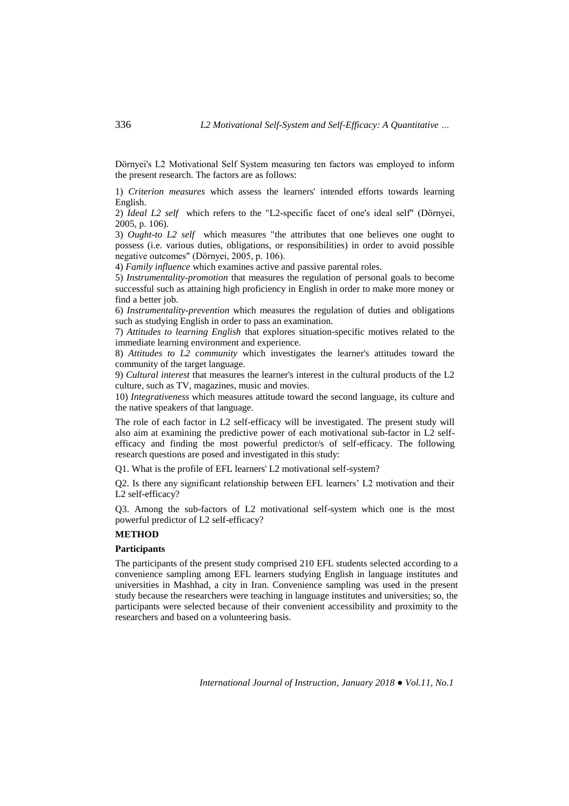Dörnyei's L2 Motivational Self System measuring ten factors was employed to inform the present research. The factors are as follows:

1) *Criterion measures* which assess the learners' intended efforts towards learning English.

2) *Ideal L2 self* which refers to the "L2-specific facet of one's ideal self" (Dörnyei, 2005, p. 106).

3) *Ought-to L2 self* which measures "the attributes that one believes one ought to possess (i.e. various duties, obligations, or responsibilities) in order to avoid possible negative outcomes" (Dörnyei, 2005, p. 106).

4) *Family influence* which examines active and passive parental roles.

5) *Instrumentality-promotion* that measures the regulation of personal goals to become successful such as attaining high proficiency in English in order to make more money or find a better job.

6) *Instrumentality-prevention* which measures the regulation of duties and obligations such as studying English in order to pass an examination.

7) *Attitudes to learning English* that explores situation-specific motives related to the immediate learning environment and experience.

8) *Attitudes to L2 community* which investigates the learner's attitudes toward the community of the target language.

9) *Cultural interest* that measures the learner's interest in the cultural products of the L2 culture, such as TV, magazines, music and movies.

10) *Integrativeness* which measures attitude toward the second language, its culture and the native speakers of that language.

The role of each factor in L2 self-efficacy will be investigated. The present study will also aim at examining the predictive power of each motivational sub-factor in L2 selfefficacy and finding the most powerful predictor/s of self-efficacy. The following research questions are posed and investigated in this study:

Q1. What is the profile of EFL learners' L2 motivational self-system?

Q2. Is there any significant relationship between EFL learners' L2 motivation and their L2 self-efficacy?

Q3. Among the sub-factors of L2 motivational self-system which one is the most powerful predictor of L2 self-efficacy?

## **METHOD**

# **Participants**

The participants of the present study comprised 210 EFL students selected according to a convenience sampling among EFL learners studying English in language institutes and universities in Mashhad, a city in Iran. Convenience sampling was used in the present study because the researchers were teaching in language institutes and universities; so, the participants were selected because of their convenient accessibility and proximity to the researchers and based on a volunteering basis.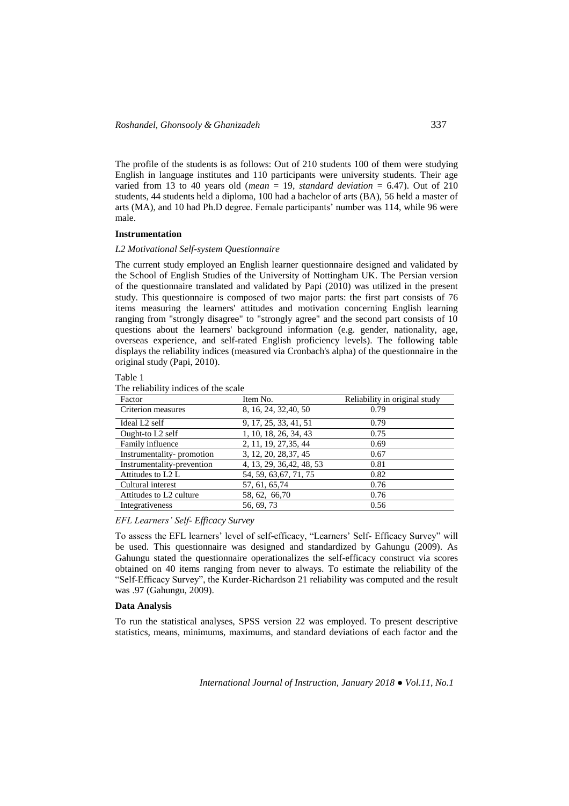The profile of the students is as follows: Out of 210 students 100 of them were studying English in language institutes and 110 participants were university students. Their age varied from 13 to 40 years old (*mean* = 19, *standard deviation* = 6.47). Out of 210 students, 44 students held a diploma, 100 had a bachelor of arts (BA), 56 held a master of arts (MA), and 10 had Ph.D degree. Female participants' number was 114, while 96 were male.

#### **Instrumentation**

#### *L2 Motivational Self-system Questionnaire*

The current study employed an English learner questionnaire designed and validated by the School of English Studies of the University of Nottingham UK. The Persian version of the questionnaire translated and validated by Papi (2010) was utilized in the present study. This questionnaire is composed of two major parts: the first part consists of 76 items measuring the learners' attitudes and motivation concerning English learning ranging from "strongly disagree" to "strongly agree" and the second part consists of 10 questions about the learners' background information (e.g. gender, nationality, age, overseas experience, and self-rated English proficiency levels). The following table displays the reliability indices (measured via Cronbach's alpha) of the questionnaire in the original study (Papi, 2010).

# Table 1

The reliability indices of the scale

| Factor                        | Item No.                  | Reliability in original study |
|-------------------------------|---------------------------|-------------------------------|
| Criterion measures            | 8, 16, 24, 32, 40, 50     | 0.79                          |
| Ideal L <sub>2</sub> self     | 9, 17, 25, 33, 41, 51     | 0.79                          |
| Ought-to L2 self              | 1, 10, 18, 26, 34, 43     | 0.75                          |
| Family influence              | 2, 11, 19, 27, 35, 44     | 0.69                          |
| Instrumentality-promotion     | 3, 12, 20, 28, 37, 45     | 0.67                          |
| Instrumentality-prevention    | 4, 13, 29, 36, 42, 48, 53 | 0.81                          |
| Attitudes to L <sub>2</sub> L | 54, 59, 63, 67, 71, 75    | 0.82                          |
| Cultural interest             | 57, 61, 65, 74            | 0.76                          |
| Attitudes to L2 culture       | 58, 62, 66,70             | 0.76                          |
| Integrativeness               | 56, 69, 73                | 0.56                          |

### *EFL Learners' Self- Efficacy Survey*

To assess the EFL learners' level of self-efficacy, "Learners' Self- Efficacy Survey" will be used. This questionnaire was designed and standardized by Gahungu (2009). As Gahungu stated the questionnaire operationalizes the self-efficacy construct via scores obtained on 40 items ranging from never to always. To estimate the reliability of the "Self-Efficacy Survey", the Kurder-Richardson 21 reliability was computed and the result was .97 (Gahungu, 2009).

### **Data Analysis**

To run the statistical analyses, SPSS version 22 was employed. To present descriptive statistics, means, minimums, maximums, and standard deviations of each factor and the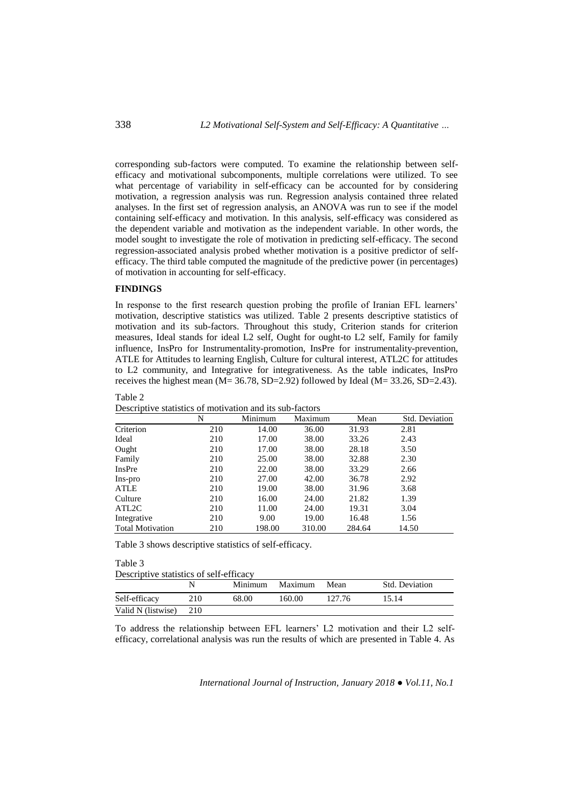corresponding sub-factors were computed. To examine the relationship between selfefficacy and motivational subcomponents, multiple correlations were utilized. To see what percentage of variability in self-efficacy can be accounted for by considering motivation, a regression analysis was run. Regression analysis contained three related analyses. In the first set of regression analysis, an ANOVA was run to see if the model containing self-efficacy and motivation. In this analysis, self-efficacy was considered as the dependent variable and motivation as the independent variable. In other words, the model sought to investigate the role of motivation in predicting self-efficacy. The second regression-associated analysis probed whether motivation is a positive predictor of selfefficacy. The third table computed the magnitude of the predictive power (in percentages) of motivation in accounting for self-efficacy.

### **FINDINGS**

Table 2

In response to the first research question probing the profile of Iranian EFL learners' motivation, descriptive statistics was utilized. Table 2 presents descriptive statistics of motivation and its sub-factors. Throughout this study, Criterion stands for criterion measures, Ideal stands for ideal L2 self, Ought for ought-to L2 self, Family for family influence, InsPro for Instrumentality-promotion, InsPre for instrumentality-prevention, ATLE for Attitudes to learning English, Culture for cultural interest, ATL2C for attitudes to L2 community, and Integrative for integrativeness. As the table indicates, InsPro receives the highest mean (M= 36.78, SD=2.92) followed by Ideal (M= 33.26, SD=2.43).

|                         | N   | Minimum | Maximum | Mean   | Std. Deviation |
|-------------------------|-----|---------|---------|--------|----------------|
| Criterion               | 210 | 14.00   | 36.00   | 31.93  | 2.81           |
| Ideal                   | 210 | 17.00   | 38.00   | 33.26  | 2.43           |
| Ought                   | 210 | 17.00   | 38.00   | 28.18  | 3.50           |
| Family                  | 210 | 25.00   | 38.00   | 32.88  | 2.30           |
| InsPre                  | 210 | 22.00   | 38.00   | 33.29  | 2.66           |
| Ins-pro                 | 210 | 27.00   | 42.00   | 36.78  | 2.92           |
| <b>ATLE</b>             | 210 | 19.00   | 38.00   | 31.96  | 3.68           |
| Culture                 | 210 | 16.00   | 24.00   | 21.82  | 1.39           |
| ATL2C                   | 210 | 11.00   | 24.00   | 19.31  | 3.04           |
| Integrative             | 210 | 9.00    | 19.00   | 16.48  | 1.56           |
| <b>Total Motivation</b> | 210 | 198.00  | 310.00  | 284.64 | 14.50          |

Descriptive statistics of motivation and its sub-factors

Table 3 shows descriptive statistics of self-efficacy.

#### Table 3

| Descriptive statistics of self-efficacy |     |         |         |        |                |  |  |
|-----------------------------------------|-----|---------|---------|--------|----------------|--|--|
|                                         |     | Minimum | Maximum | Mean   | Std. Deviation |  |  |
| Self-efficacy                           | 210 | 68.00   | 160.00  | 127.76 | 15 14          |  |  |
| Valid N (listwise)                      | 210 |         |         |        |                |  |  |

To address the relationship between EFL learners' L2 motivation and their L2 selfefficacy, correlational analysis was run the results of which are presented in Table 4. As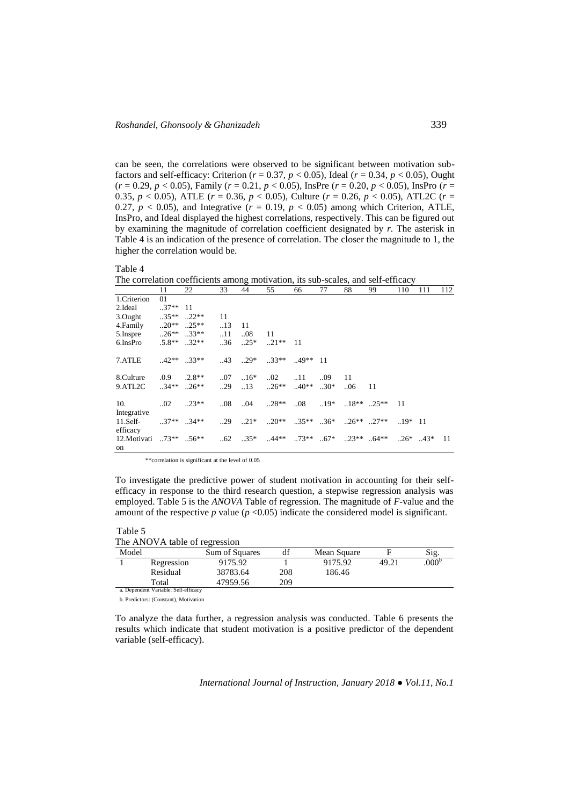can be seen, the correlations were observed to be significant between motivation subfactors and self-efficacy: Criterion ( $r = 0.37$ ,  $p < 0.05$ ), Ideal ( $r = 0.34$ ,  $p < 0.05$ ), Ought (*r* = 0.29, *p* < 0.05), Family (*r* = 0.21, *p* < 0.05), InsPre (*r* = 0.20, *p* < 0.05), InsPro (*r* = 0.35, *p* < 0.05), ATLE (*r* = 0.36, *p* < 0.05), Culture (*r* = 0.26, *p* < 0.05), ATL2C (*r* = 0.27,  $p < 0.05$ ), and Integrative ( $r = 0.19$ ,  $p < 0.05$ ) among which Criterion, ATLE, InsPro, and Ideal displayed the highest correlations, respectively. This can be figured out by examining the magnitude of correlation coefficient designated by *r*. The asterisk in Table 4 is an indication of the presence of correlation. The closer the magnitude to 1, the higher the correlation would be.

Table 4

The correlation coefficients among motivation, its sub-scales, and self-efficacy

|                |               |                   |     | U       |                       |          |         |               |                 |                 |     |     |
|----------------|---------------|-------------------|-----|---------|-----------------------|----------|---------|---------------|-----------------|-----------------|-----|-----|
|                | 11            | 22                | 33  | 44      | 55                    | 66       | 77      | 88            | 99              | 110             | 111 | 112 |
| 1.Criterion    | 01            |                   |     |         |                       |          |         |               |                 |                 |     |     |
| 2.Ideal        | $.37**$ 11    |                   |     |         |                       |          |         |               |                 |                 |     |     |
| 3.Ought        |               | $.35***$ $.22**$  | 11  |         |                       |          |         |               |                 |                 |     |     |
| 4. Family      |               | $0.20**$ 25**     | .13 | 11      |                       |          |         |               |                 |                 |     |     |
| 5. Inspre      |               | $.26***$ $.33**$  | .11 | .08     | 11                    |          |         |               |                 |                 |     |     |
| 6.InsPro       |               | $.5.8***$ $.32**$ | .36 | $0.25*$ | $.21**$               | -11      |         |               |                 |                 |     |     |
| 7.ATLE         |               | $.42**$ $.33**$   | .43 | $.29*$  | $.33**$               | $.49**$  | -11     |               |                 |                 |     |     |
| 8.Culture      | .0.9          | $.2.8**$          | .07 | $.16*$  | .02                   | .11      | .09     | 11            |                 |                 |     |     |
| 9.ATL2C        |               | $.34***$ $.26**$  | .29 | .13     | $.26**$               | $.40**$  | $0.30*$ | .06           | 11              |                 |     |     |
| 10.            | 02            | $.23***$          | .08 | .04     | $0.28**$              | .08      | $.19*$  | $.18**$ 25**  |                 | 11              |     |     |
| Integrative    |               |                   |     |         |                       |          |         |               |                 |                 |     |     |
| $11.Self-$     |               | $.37**$ $.34**$   | .29 | $.21*$  | $0.20**$              | $0.35**$ | $.36*$  | $0.26**$ 27** |                 | $.19*$ 11       |     |     |
| efficacy       |               |                   |     |         |                       |          |         |               |                 |                 |     |     |
| 12. Motivati   | $0.73**$ 56** |                   | .62 | $0.35*$ | $0.44***$ $73***$ 67* |          |         |               | $0.23**$ . 64** | $.26^*$ $.43^*$ |     | 11  |
| $_{\text{on}}$ |               |                   |     |         |                       |          |         |               |                 |                 |     |     |

\*\*correlation is significant at the level of 0.05

To investigate the predictive power of student motivation in accounting for their selfefficacy in response to the third research question, a stepwise regression analysis was employed. Table 5 is the *ANOVA* Table of regression. The magnitude of *F-*value and the amount of the respective  $p$  value ( $p < 0.05$ ) indicate the considered model is significant.

Table 5 The ANOVA table of regression

| Model |                                     | Sum of Squares | df  | Mean Square |       | Sig               |
|-------|-------------------------------------|----------------|-----|-------------|-------|-------------------|
|       | Regression                          | 9175.92        |     | 9175.92     | 49.21 | .000 <sup>b</sup> |
|       | Residual                            | 38783.64       | 208 | 186.46      |       |                   |
|       | Total                               | 47959.56       | 209 |             |       |                   |
|       | a Denendent Variable: Self-efficacy |                |     |             |       |                   |

b. Predictors: (Constant), Motivation

To analyze the data further, a regression analysis was conducted. Table 6 presents the results which indicate that student motivation is a positive predictor of the dependent variable (self-efficacy).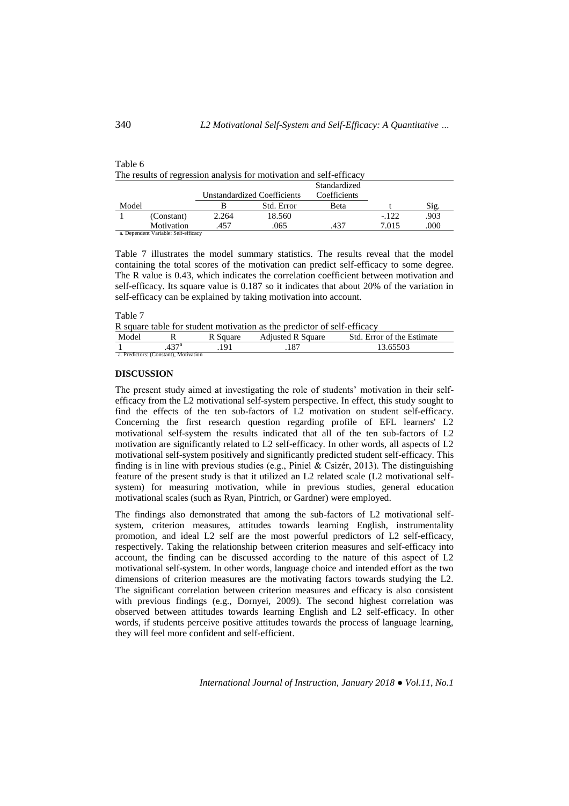| Table 6                                                             |  |
|---------------------------------------------------------------------|--|
| The results of regression analysis for motivation and self-efficacy |  |
|                                                                     |  |

|       |            | Standardized |                             |              |         |      |  |
|-------|------------|--------------|-----------------------------|--------------|---------|------|--|
|       |            |              | Unstandardized Coefficients | Coefficients |         |      |  |
| Model |            |              | Std. Error                  | Beta         |         | Sig  |  |
|       | (Constant) | 2.264        | 18.560                      |              | $-.122$ | .903 |  |
|       | Motivation | 457          | .065                        | 437          | 7.015   | .000 |  |

a. Dependent Variable: Self-efficacy

Table 7 illustrates the model summary statistics. The results reveal that the model containing the total scores of the motivation can predict self-efficacy to some degree. The R value is 0.43, which indicates the correlation coefficient between motivation and self-efficacy. Its square value is 0.187 so it indicates that about 20% of the variation in self-efficacy can be explained by taking motivation into account.

| ٠<br>i |  |
|--------|--|
|--------|--|

R square table for student motivation as the predictor of self-efficacy

| Model |                                       | Square   | <b>Adjusted R Square</b> | Std. Error of the Estimate |
|-------|---------------------------------------|----------|--------------------------|----------------------------|
|       | ∣nπa                                  | $\Omega$ | .187                     | .65503                     |
|       | a. Predictors: (Constant), Motivation |          |                          |                            |

### **DISCUSSION**

The present study aimed at investigating the role of students' motivation in their selfefficacy from the L2 motivational self-system perspective. In effect, this study sought to find the effects of the ten sub-factors of L2 motivation on student self-efficacy. Concerning the first research question regarding profile of EFL learners' L2 motivational self-system the results indicated that all of the ten sub-factors of L2 motivation are significantly related to L2 self-efficacy. In other words, all aspects of L2 motivational self-system positively and significantly predicted student self-efficacy. This finding is in line with previous studies (e.g., Piniel & Csizér, 2013). The distinguishing feature of the present study is that it utilized an L2 related scale (L2 motivational selfsystem) for measuring motivation, while in previous studies, general education motivational scales (such as Ryan, Pintrich, or Gardner) were employed.

The findings also demonstrated that among the sub-factors of L2 motivational selfsystem, criterion measures, attitudes towards learning English, instrumentality promotion, and ideal L2 self are the most powerful predictors of L2 self-efficacy, respectively. Taking the relationship between criterion measures and self-efficacy into account, the finding can be discussed according to the nature of this aspect of L2 motivational self-system. In other words, language choice and intended effort as the two dimensions of criterion measures are the motivating factors towards studying the L2. The significant correlation between criterion measures and efficacy is also consistent with previous findings (e.g., Dornyei, 2009). The second highest correlation was observed between attitudes towards learning English and L2 self-efficacy. In other words, if students perceive positive attitudes towards the process of language learning, they will feel more confident and self-efficient.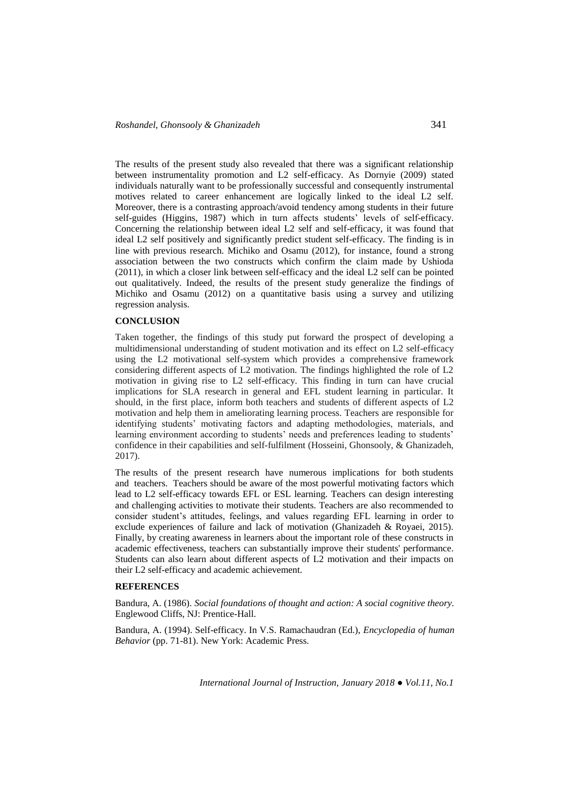The results of the present study also revealed that there was a significant relationship between instrumentality promotion and L2 self-efficacy. As Dornyie (2009) stated individuals naturally want to be professionally successful and consequently instrumental motives related to career enhancement are logically linked to the ideal L2 self. Moreover, there is a contrasting approach/avoid tendency among students in their future self-guides (Higgins, 1987) which in turn affects students' levels of self-efficacy. Concerning the relationship between ideal L2 self and self-efficacy, it was found that ideal L2 self positively and significantly predict student self-efficacy. The finding is in line with previous research. Michiko and Osamu (2012), for instance, found a strong association between the two constructs which confirm the claim made by Ushioda (2011), in which a closer link between self-efficacy and the ideal L2 self can be pointed out qualitatively. Indeed, the results of the present study generalize the findings of Michiko and Osamu (2012) on a quantitative basis using a survey and utilizing regression analysis.

### **CONCLUSION**

Taken together, the findings of this study put forward the prospect of developing a multidimensional understanding of student motivation and its effect on L2 self-efficacy using the L2 motivational self-system which provides a comprehensive framework considering different aspects of L2 motivation. The findings highlighted the role of L2 motivation in giving rise to L2 self-efficacy. This finding in turn can have crucial implications for SLA research in general and EFL student learning in particular. It should, in the first place, inform both teachers and students of different aspects of L2 motivation and help them in ameliorating learning process. Teachers are responsible for identifying students' motivating factors and adapting methodologies, materials, and learning environment according to students' needs and preferences leading to students' confidence in their capabilities and self-fulfilment (Hosseini, Ghonsooly, & Ghanizadeh, 2017).

The results of the present research have numerous implications for both students and teachers. Teachers should be aware of the most powerful motivating factors which lead to L2 self-efficacy towards EFL or ESL learning. Teachers can design interesting and challenging activities to motivate their students. Teachers are also recommended to consider student's attitudes, feelings, and values regarding EFL learning in order to exclude experiences of failure and lack of motivation (Ghanizadeh & Royaei, 2015). Finally, by creating awareness in learners about the important role of these constructs in academic effectiveness, teachers can substantially improve their students' performance. Students can also learn about different aspects of L2 motivation and their impacts on their L2 self-efficacy and academic achievement.

### **REFERENCES**

Bandura, A. (1986). *Social foundations of thought and action: A social cognitive theory.*  Englewood Cliffs, NJ: Prentice-Hall.

Bandura, A. (1994). Self-efficacy. In V.S. Ramachaudran (Ed.), *Encyclopedia of human Behavior* (pp. 71-81). New York: Academic Press.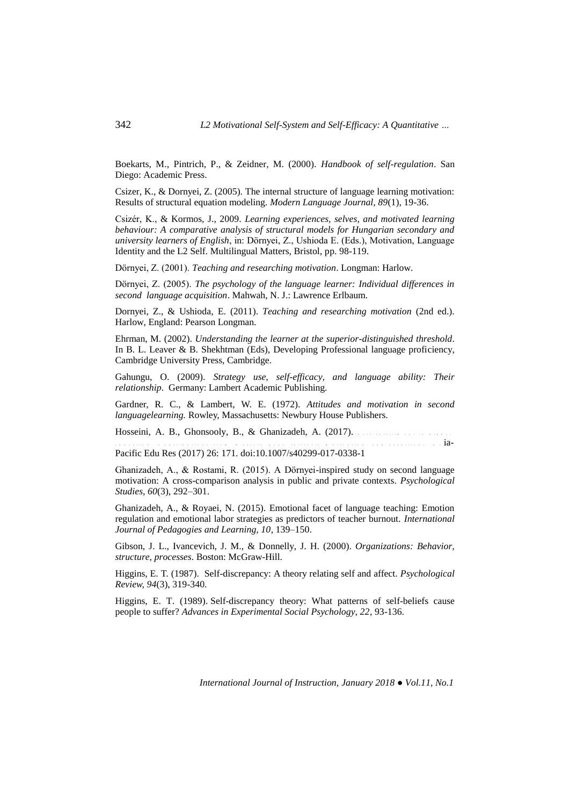Boekarts, M., Pintrich, P., & Zeidner, M. (2000). *Handbook of self-regulation*. San Diego: Academic Press.

Csizer, K., & Dornyei, Z. (2005). The internal structure of language learning motivation: Results of structural equation modeling. *Modern Language Journal, 89*(1), 19-36.

Csizér, K., & Kormos, J., 2009. *Learning experiences, selves, and motivated learning behaviour: A comparative analysis of structural models for Hungarian secondary and university learners of English*, in: Dörnyei, Z., Ushioda E. (Eds.), Motivation, Language Identity and the L2 Self. Multilingual Matters, Bristol, pp. 98-119.

Dörnyei, Z. (2001). *Teaching and researching motivation*. Longman: Harlow.

Dörnyei, Z. (2005). *The psychology of the language learner: Individual differences in second language acquisition*. Mahwah, N. J.: Lawrence Erlbaum.

Dornyei, Z., & Ushioda, E. (2011). *Teaching and researching motivation* (2nd ed.). Harlow, England: Pearson Longman.

Ehrman, M. (2002). *Understanding the learner at the superior-distinguished threshold*. In B. L. Leaver & B. Shekhtman (Eds), Developing Professional language proficiency, Cambridge University Press, Cambridge.

Gahungu, O. (2009). *Strategy use, self-efficacy, and language ability: Their relationship*. Germany: Lambert Academic Publishing.

Gardner, R. C., & Lambert, W. E. (1972). *Attitudes and motivation in second languagelearning.* Rowley, Massachusetts: Newbury House Publishers.

Hosseini, A. B., Ghonsooly, B., & Ghanizadeh, A. (2017).

 $\ldots$  . C o m m a s t e r i  $i$   $i$ 

Pacific Edu Res (2017) 26: 171. doi:10.1007/s40299-017-0338-1

Ghanizadeh, A., & Rostami, R. (2015). A Dörnyei-inspired study on second language motivation: A cross-comparison analysis in public and private contexts. *Psychological Studies, 60*(3), 292–301.

Ghanizadeh, A., & Royaei, N. (2015). Emotional facet of language teaching: Emotion regulation and emotional labor strategies as predictors of teacher burnout. *International Journal of Pedagogies and Learning, 10*, 139–150.

Gibson, J. L., Ivancevich, J. M., & Donnelly, J. H. (2000). *Organizations: Behavior, structure, processes*. Boston: McGraw-Hill.

Higgins, E. T. (1987). Self-discrepancy: A theory relating self and affect. *Psychological Review, 94*(3), 319-340.

Higgins, E. T. (1989). Self-discrepancy theory: What patterns of self-beliefs cause people to suffer? *Advances in Experimental Social Psychology, 22*, 93-136.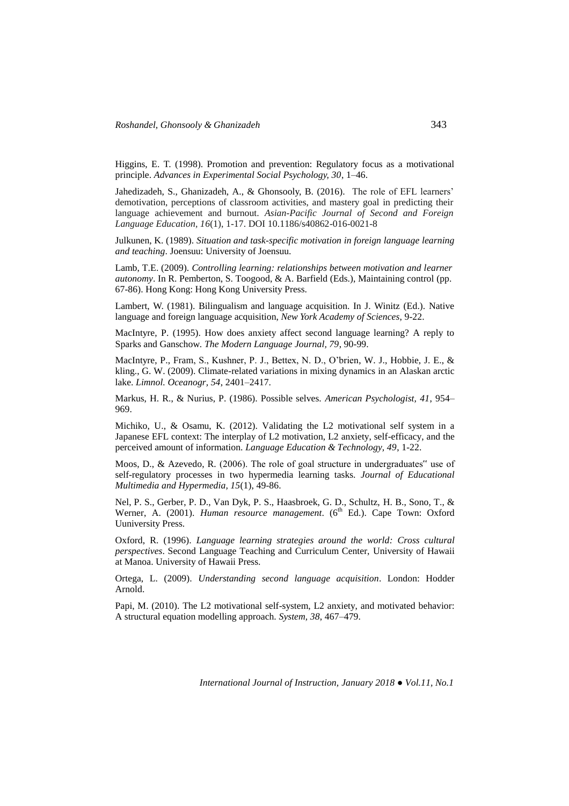Higgins, E. T. (1998). Promotion and prevention: Regulatory focus as a motivational principle. *Advances in Experimental Social Psychology, 30*, 1–46.

Jahedizadeh, S., Ghanizadeh, A., & Ghonsooly, B. (2016). The role of EFL learners' demotivation, perceptions of classroom activities, and mastery goal in predicting their language achievement and burnout. *Asian-Pacific Journal of Second and Foreign Language Education, 16*(1), 1-17. DOI 10.1186/s40862-016-0021-8

Julkunen, K. (1989). *Situation and task-specific motivation in foreign language learning and teaching*. Joensuu: University of Joensuu.

Lamb, T.E. (2009). *Controlling learning: relationships between motivation and learner autonomy*. In R. Pemberton, S. Toogood, & A. Barfield (Eds.), Maintaining control (pp. 67-86). Hong Kong: Hong Kong University Press.

Lambert, W. (1981). Bilingualism and language acquisition. In J. Winitz (Ed.). Native language and foreign language acquisition, *New York Academy of Sciences*, 9-22.

MacIntyre, P. (1995). How does anxiety affect second language learning? A reply to Sparks and Ganschow. *The Modern Language Journal, 79*, 90-99.

MacIntyre, P., Fram, S., Kushner, P. J., Bettex, N. D., O'brien, W. J., Hobbie, J. E., & kling., G. W. (2009). Climate-related variations in mixing dynamics in an Alaskan arctic lake. *Limnol. Oceanogr, 54*, 2401–2417.

Markus, H. R., & Nurius, P. (1986). Possible selves. *American Psychologist, 41*, 954– 969.

Michiko, U., & Osamu, K. (2012). Validating the L2 motivational self system in a Japanese EFL context: The interplay of L2 motivation, L2 anxiety, self-efficacy, and the perceived amount of information. *Language Education & Technology, 49*, 1-22.

Moos, D., & Azevedo, R. (2006). The role of goal structure in undergraduates" use of self-regulatory processes in two hypermedia learning tasks. *Journal of Educational Multimedia and Hypermedia, 15*(1), 49-86.

Nel, P. S., Gerber, P. D., Van Dyk, P. S., Haasbroek, G. D., Schultz, H. B., Sono, T., & Werner, A. (2001). *Human resource management*. (6<sup>th</sup> Ed.). Cape Town: Oxford Uuniversity Press.

Oxford, R. (1996). *Language learning strategies around the world: Cross cultural perspectives*. Second Language Teaching and Curriculum Center, University of Hawaii at Manoa. University of Hawaii Press.

Ortega, L. (2009). *Understanding second language acquisition*. London: Hodder Arnold.

Papi, M. (2010). The L2 motivational self-system, L2 anxiety, and motivated behavior: A structural equation modelling approach. *System, 38*, 467–479.